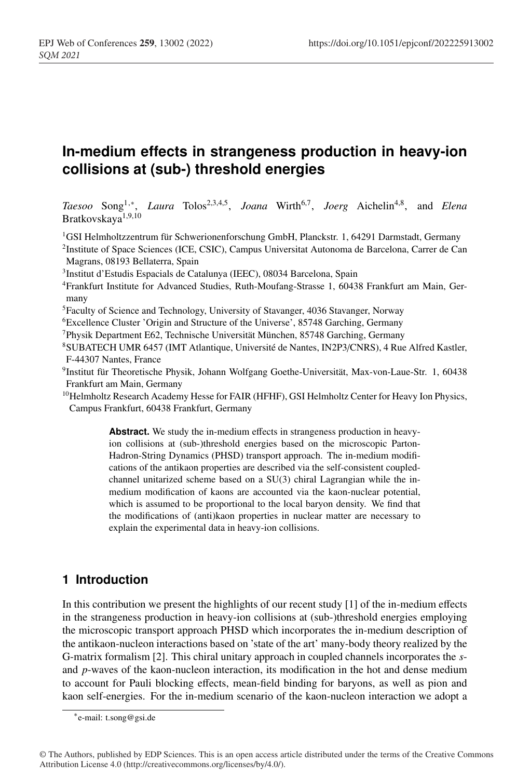# **In-medium effects in strangeness production in heavy-ion collisions at (sub-) threshold energies**

*Taesoo* Song1,∗, *Laura* Tolos2,3,4,5, *Joana* Wirth6,7, *Joerg* Aichelin4,8, and *Elena* Bratkovskaya<sup>1</sup>,9,<sup>10</sup>

1GSI Helmholtzzentrum für Schwerionenforschung GmbH, Planckstr. 1, 64291 Darmstadt, Germany

2Institute of Space Sciences (ICE, CSIC), Campus Universitat Autonoma de Barcelona, Carrer de Can Magrans, 08193 Bellaterra, Spain

3Institut d'Estudis Espacials de Catalunya (IEEC), 08034 Barcelona, Spain

4Frankfurt Institute for Advanced Studies, Ruth-Moufang-Strasse 1, 60438 Frankfurt am Main, Germany

5Faculty of Science and Technology, University of Stavanger, 4036 Stavanger, Norway

6Excellence Cluster 'Origin and Structure of the Universe', 85748 Garching, Germany

- 7Physik Department E62, Technische Universität München, 85748 Garching, Germany
- 8SUBATECH UMR 6457 (IMT Atlantique, Université de Nantes, IN2P3/CNRS), 4 Rue Alfred Kastler, F-44307 Nantes, France
- 9Institut für Theoretische Physik, Johann Wolfgang Goethe-Universität, Max-von-Laue-Str. 1, 60438 Frankfurt am Main, Germany
- <sup>10</sup>Helmholtz Research Academy Hesse for FAIR (HFHF), GSI Helmholtz Center for Heavy Ion Physics, Campus Frankfurt, 60438 Frankfurt, Germany

**Abstract.** We study the in-medium effects in strangeness production in heavyion collisions at (sub-)threshold energies based on the microscopic Parton-Hadron-String Dynamics (PHSD) transport approach. The in-medium modifications of the antikaon properties are described via the self-consistent coupledchannel unitarized scheme based on a SU(3) chiral Lagrangian while the inmedium modification of kaons are accounted via the kaon-nuclear potential, which is assumed to be proportional to the local baryon density. We find that the modifications of (anti)kaon properties in nuclear matter are necessary to explain the experimental data in heavy-ion collisions.

### **1 Introduction**

In this contribution we present the highlights of our recent study [1] of the in-medium effects in the strangeness production in heavy-ion collisions at (sub-)threshold energies employing the microscopic transport approach PHSD which incorporates the in-medium description of the antikaon-nucleon interactions based on 'state of the art' many-body theory realized by the G-matrix formalism [2]. This chiral unitary approach in coupled channels incorporates the *s*and *p*-waves of the kaon-nucleon interaction, its modification in the hot and dense medium to account for Pauli blocking effects, mean-field binding for baryons, as well as pion and kaon self-energies. For the in-medium scenario of the kaon-nucleon interaction we adopt a

<sup>∗</sup>e-mail: t.song@gsi.de

<sup>©</sup> The Authors, published by EDP Sciences. This is an open access article distributed under the terms of the Creative Commons Attribution License 4.0 (http://creativecommons.org/licenses/by/4.0/).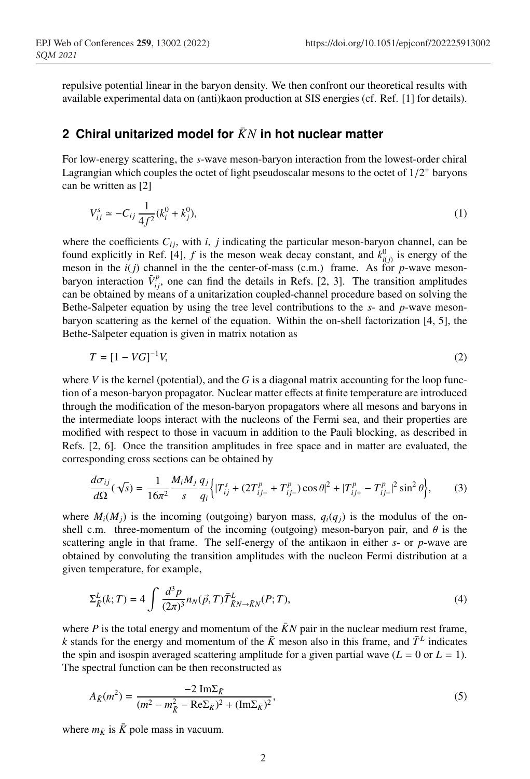repulsive potential linear in the baryon density. We then confront our theoretical results with available experimental data on (anti)kaon production at SIS energies (cf. Ref. [1] for details).

### **2 Chiral unitarized model for** *KN*¯ **in hot nuclear matter**

For low-energy scattering, the *s*-wave meson-baryon interaction from the lowest-order chiral Lagrangian which couples the octet of light pseudoscalar mesons to the octet of  $1/2^+$  baryons can be written as [2]

$$
V_{ij}^s \simeq -C_{ij} \frac{1}{4f^2} (k_i^0 + k_j^0), \tag{1}
$$

where the coefficients  $C_{ij}$ , with *i*, *j* indicating the particular meson-baryon channel, can be found explicitly in Ref. [4],  $f$  is the meson weak decay constant, and  $k^0_{i(j)}$  is energy of the meson in the  $i(j)$  channel in the the center-of-mass (c.m.) frame. As for  $p$ -wave mesonbaryon interaction  $\tilde{V}_{ij}^p$ , one can find the details in Refs. [2, 3]. The transition amplitudes can be obtained by means of a unitarization coupled-channel procedure based on solving the Bethe-Salpeter equation by using the tree level contributions to the *s*- and *p*-wave mesonbaryon scattering as the kernel of the equation. Within the on-shell factorization [4, 5], the Bethe-Salpeter equation is given in matrix notation as

$$
T = [1 - VG]^{-1}V,
$$
\n(2)

where  $V$  is the kernel (potential), and the  $G$  is a diagonal matrix accounting for the loop function of a meson-baryon propagator. Nuclear matter effects at finite temperature are introduced through the modification of the meson-baryon propagators where all mesons and baryons in the intermediate loops interact with the nucleons of the Fermi sea, and their properties are modified with respect to those in vacuum in addition to the Pauli blocking, as described in Refs. [2, 6]. Once the transition amplitudes in free space and in matter are evaluated, the corresponding cross sections can be obtained by

$$
\frac{d\sigma_{ij}}{d\Omega}(\sqrt{s}) = \frac{1}{16\pi^2} \frac{M_i M_j}{s} \frac{q_j}{q_i} \Big\{ |T_{ij}^s + (2T_{ij+}^p + T_{ij-}^p) \cos\theta|^2 + |T_{ij+}^p - T_{ij-}^p|^2 \sin^2\theta \Big\},\tag{3}
$$

where  $M_i(M_j)$  is the incoming (outgoing) baryon mass,  $q_i(q_j)$  is the modulus of the onshell c.m. three-momentum of the incoming (outgoing) meson-baryon pair, and  $\theta$  is the scattering angle in that frame. The self-energy of the antikaon in either *s*- or *p*-wave are obtained by convoluting the transition amplitudes with the nucleon Fermi distribution at a given temperature, for example,

$$
\Sigma_{\vec{K}}^L(k;T) = 4 \int \frac{d^3 p}{(2\pi)^3} n_N(\vec{p},T) \bar{T}_{\vec{K}N \to \bar{K}N}^L(P;T), \tag{4}
$$

where  $P$  is the total energy and momentum of the  $\bar{K}N$  pair in the nuclear medium rest frame, *k* stands for the energy and momentum of the  $\bar{K}$  meson also in this frame, and  $\bar{T}^L$  indicates the spin and isospin averaged scattering amplitude for a given partial wave  $(L = 0 \text{ or } L = 1)$ . The spectral function can be then reconstructed as

$$
A_{\bar{K}}(m^2) = \frac{-2 \operatorname{Im} \Sigma_{\bar{K}}}{(m^2 - m_{\bar{K}}^2 - \operatorname{Re} \Sigma_{\bar{K}})^2 + (\operatorname{Im} \Sigma_{\bar{K}})^2},\tag{5}
$$

where  $m_{\overline{K}}$  is  $\overline{K}$  pole mass in vacuum.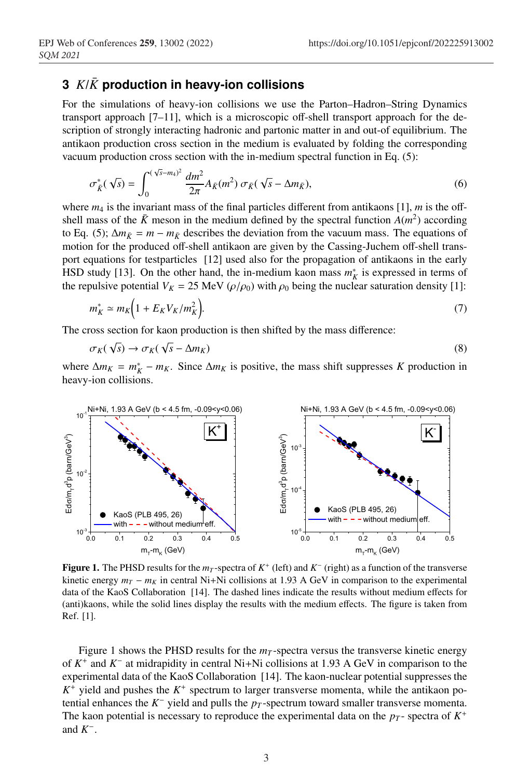## **3**  $K/\bar{K}$  production in heavy-ion collisions

For the simulations of heavy-ion collisions we use the Parton–Hadron–String Dynamics transport approach [7–11], which is a microscopic off-shell transport approach for the description of strongly interacting hadronic and partonic matter in and out-of equilibrium. The antikaon production cross section in the medium is evaluated by folding the corresponding vacuum production cross section with the in-medium spectral function in Eq. (5):

$$
\sigma_{\bar{K}}^*(\sqrt{s}) = \int_0^{(\sqrt{s}-m_4)^2} \frac{dm^2}{2\pi} A_{\bar{K}}(m^2) \sigma_{\bar{K}}(\sqrt{s}-\Delta m_{\bar{K}}),\tag{6}
$$

where  $m_4$  is the invariant mass of the final particles different from antikaons [1],  $m$  is the offshell mass of the  $\bar{K}$  meson in the medium defined by the spectral function  $A(m^2)$  according to Eq. (5);  $\Delta m_{\tilde{K}} = m - m_{\tilde{K}}$  describes the deviation from the vacuum mass. The equations of motion for the produced off-shell antikaon are given by the Cassing-Juchem off-shell transport equations for testparticles [12] used also for the propagation of antikaons in the early HSD study [13]. On the other hand, the in-medium kaon mass  $m_K^*$  is expressed in terms of the repulsive potential  $V_K = 25$  MeV ( $\rho/\rho_0$ ) with  $\rho_0$  being the nuclear saturation density [1]:

$$
m_K^* \simeq m_K \left( 1 + E_K V_K / m_K^2 \right). \tag{7}
$$

The cross section for kaon production is then shifted by the mass difference:

$$
\sigma_K(\sqrt{s}) \to \sigma_K(\sqrt{s} - \Delta m_K) \tag{8}
$$

where  $\Delta m_K = m_K^* - m_K$ . Since  $\Delta m_K$  is positive, the mass shift suppresses *K* production in heavy-ion collisions.



Figure 1. The PHSD results for the  $m<sub>T</sub>$ -spectra of  $K<sup>+</sup>$  (left) and  $K<sup>-</sup>$  (right) as a function of the transverse kinetic energy  $m_T - m_K$  in central Ni+Ni collisions at 1.93 A GeV in comparison to the experimental data of the KaoS Collaboration [14]. The dashed lines indicate the results without medium effects for (anti)kaons, while the solid lines display the results with the medium effects. The figure is taken from Ref. [1].

Figure 1 shows the PHSD results for the  $m<sub>T</sub>$ -spectra versus the transverse kinetic energy of *K*<sup>+</sup> and *K*<sup>−</sup> at midrapidity in central Ni+Ni collisions at 1.93 A GeV in comparison to the experimental data of the KaoS Collaboration [14]. The kaon-nuclear potential suppresses the  $K^+$  yield and pushes the  $K^+$  spectrum to larger transverse momenta, while the antikaon potential enhances the  $K^-$  yield and pulls the  $p_T$ -spectrum toward smaller transverse momenta. The kaon potential is necessary to reproduce the experimental data on the  $p_T$ - spectra of  $K^+$ and  $K^-$ .